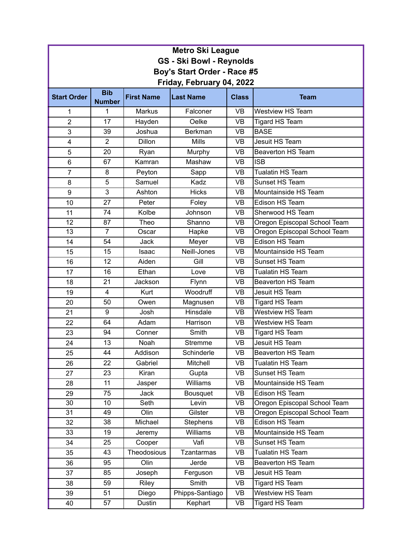| <b>Metro Ski League</b>         |                |                   |                                            |                                   |                              |  |  |
|---------------------------------|----------------|-------------------|--------------------------------------------|-----------------------------------|------------------------------|--|--|
| <b>GS - Ski Bowl - Reynolds</b> |                |                   |                                            |                                   |                              |  |  |
| Boy's Start Order - Race #5     |                |                   |                                            |                                   |                              |  |  |
| Friday, February 04, 2022       |                |                   |                                            |                                   |                              |  |  |
|                                 | <b>Bib</b>     |                   |                                            |                                   |                              |  |  |
| <b>Start Order</b>              | <b>Number</b>  | <b>First Name</b> | <b>Last Name</b>                           | <b>Class</b>                      | <b>Team</b>                  |  |  |
| 1                               | 1              | Markus            | Falconer                                   | <b>VB</b>                         | <b>Westview HS Team</b>      |  |  |
| $\overline{2}$                  | 17             | Hayden            | <b>VB</b><br>Oelke                         |                                   | <b>Tigard HS Team</b>        |  |  |
| 3                               | 39             | Joshua            | <b>BASE</b><br><b>Berkman</b><br><b>VB</b> |                                   |                              |  |  |
| $\overline{\mathbf{4}}$         | $\overline{2}$ | Dillon            | <b>Mills</b>                               | Jesuit HS Team<br><b>VB</b>       |                              |  |  |
| 5                               | 20             | Ryan              | Murphy                                     | <b>VB</b>                         | <b>Beaverton HS Team</b>     |  |  |
| $6\phantom{1}$                  | 67             | Kamran            | Mashaw                                     | <b>VB</b>                         | <b>ISB</b>                   |  |  |
| $\overline{7}$                  | 8              | Peyton            | Sapp                                       | <b>VB</b>                         | <b>Tualatin HS Team</b>      |  |  |
| 8                               | 5              | Samuel            | Kadz                                       | <b>VB</b>                         | Sunset HS Team               |  |  |
| 9                               | 3              | Ashton            | <b>Hicks</b>                               | <b>VB</b><br>Mountainside HS Team |                              |  |  |
| 10                              | 27             | Peter             | <b>VB</b><br>Edison HS Team<br>Foley       |                                   |                              |  |  |
| 11                              | 74             | Kolbe             | <b>VB</b><br>Johnson<br>Sherwood HS Team   |                                   |                              |  |  |
| 12                              | 87             | Theo              | Shanno                                     | <b>VB</b>                         | Oregon Episcopal School Team |  |  |
| $\overline{13}$                 | $\overline{7}$ | Oscar             | Hapke                                      | <b>VB</b>                         | Oregon Episcopal School Team |  |  |
| 14                              | 54             | Jack              | Meyer                                      | <b>VB</b>                         | Edison HS Team               |  |  |
| 15                              | 15             | Isaac             | Neill-Jones                                | <b>VB</b>                         | Mountainside HS Team         |  |  |
| 16                              | 12             | Aiden             | Gill                                       | <b>VB</b>                         | Sunset HS Team               |  |  |
| 17                              | 16             | Ethan             | Love                                       | <b>VB</b>                         | <b>Tualatin HS Team</b>      |  |  |
| 18                              | 21             | Jackson           | Flynn                                      | <b>VB</b>                         | <b>Beaverton HS Team</b>     |  |  |
| 19                              | 4              | Kurt              | Woodruff                                   | <b>VB</b>                         | Jesuit HS Team               |  |  |
| 20                              | 50             | Owen              | Magnusen                                   | <b>VB</b>                         | <b>Tigard HS Team</b>        |  |  |
| 21                              | 9              | Josh              | Hinsdale                                   | <b>VB</b>                         | <b>Westview HS Team</b>      |  |  |
| 22                              | 64             | Adam              | Harrison                                   | <b>VB</b>                         | <b>Westview HS Team</b>      |  |  |
| 23                              | 94             | Conner            | Smith                                      | <b>VB</b>                         | <b>Tigard HS Team</b>        |  |  |
| 24                              | 13             | Noah              | <b>Stremme</b>                             | <b>VB</b>                         | Jesuit HS Team               |  |  |
| 25                              | 44             | Addison           | Schinderle                                 | <b>VB</b>                         | Beaverton HS Team            |  |  |
| 26                              | 22             | Gabriel           | Mitchell                                   | <b>VB</b>                         | Tualatin HS Team             |  |  |
| 27                              | 23             | Kiran             | Gupta                                      | VB                                | Sunset HS Team               |  |  |
| 28                              | 11             | Jasper            | Williams                                   | <b>VB</b>                         | Mountainside HS Team         |  |  |
| 29                              | 75             | Jack              | Bousquet                                   | <b>VB</b>                         | Edison HS Team               |  |  |
| 30                              | 10             | Seth              | Levin                                      | <b>VB</b>                         | Oregon Episcopal School Team |  |  |
| 31                              | 49             | Olin              | Gilster                                    | VB                                | Oregon Episcopal School Team |  |  |
| 32                              | 38             | Michael           | <b>Stephens</b>                            | VB                                | Edison HS Team               |  |  |
| 33                              | 19             | Jeremy            | Williams                                   | <b>VB</b>                         | Mountainside HS Team         |  |  |
| 34                              | 25             | Cooper            | Vafi                                       | <b>VB</b>                         | Sunset HS Team               |  |  |
| 35                              | 43             | Theodosious       | <b>Tzantarmas</b>                          | VB                                | Tualatin HS Team             |  |  |
| 36                              | 95             | Olin              | Jerde<br>VB<br><b>Beaverton HS Team</b>    |                                   |                              |  |  |
| 37                              | 85             | Joseph            | Ferguson                                   | <b>VB</b>                         | Jesuit HS Team               |  |  |
| 38                              | 59             | Riley             | Smith<br>VB                                |                                   | Tigard HS Team               |  |  |
| 39                              | 51             | Diego             | Phipps-Santiago                            | VB                                | Westview HS Team             |  |  |
| 40                              | 57             | Dustin            | Kephart                                    | VB                                | <b>Tigard HS Team</b>        |  |  |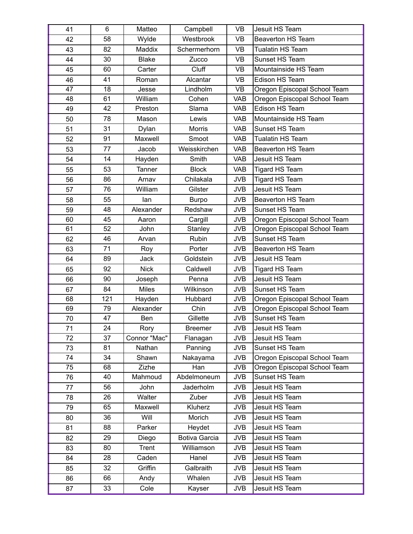| 41 | 6   | Matteo        | Campbell       | <b>VB</b>  | Jesuit HS Team               |
|----|-----|---------------|----------------|------------|------------------------------|
| 42 | 58  | Wylde         | Westbrook      | <b>VB</b>  | <b>Beaverton HS Team</b>     |
| 43 | 82  | <b>Maddix</b> | Schermerhorn   | <b>VB</b>  | <b>Tualatin HS Team</b>      |
| 44 | 30  | <b>Blake</b>  | Zucco          | <b>VB</b>  | Sunset HS Team               |
| 45 | 60  | Carter        | Cluff          | <b>VB</b>  | Mountainside HS Team         |
| 46 | 41  | Roman         | Alcantar       | <b>VB</b>  | Edison HS Team               |
| 47 | 18  | Jesse         | Lindholm       | <b>VB</b>  | Oregon Episcopal School Team |
| 48 | 61  | William       | Cohen          | <b>VAB</b> | Oregon Episcopal School Team |
| 49 | 42  | Preston       | Slama          | <b>VAB</b> | Edison HS Team               |
| 50 | 78  | Mason         | Lewis          | <b>VAB</b> | Mountainside HS Team         |
| 51 | 31  | Dylan         | <b>Morris</b>  | <b>VAB</b> | Sunset HS Team               |
| 52 | 91  | Maxwell       | Smoot          | <b>VAB</b> | <b>Tualatin HS Team</b>      |
| 53 | 77  | Jacob         | Weisskirchen   | <b>VAB</b> | <b>Beaverton HS Team</b>     |
| 54 | 14  | Hayden        | Smith          | <b>VAB</b> | Jesuit HS Team               |
| 55 | 53  | Tanner        | <b>Block</b>   | <b>VAB</b> | <b>Tigard HS Team</b>        |
| 56 | 86  | Arnav         | Chilakala      | <b>JVB</b> | Tigard HS Team               |
| 57 | 76  | William       | Gilster        | <b>JVB</b> | Jesuit HS Team               |
| 58 | 55  | lan           | <b>Burpo</b>   | <b>JVB</b> | <b>Beaverton HS Team</b>     |
| 59 | 48  | Alexander     | Redshaw        | <b>JVB</b> | Sunset HS Team               |
| 60 | 45  | Aaron         | Cargill        | <b>JVB</b> | Oregon Episcopal School Team |
| 61 | 52  | John          | Stanley        | <b>JVB</b> | Oregon Episcopal School Team |
| 62 | 46  | Arvan         | Rubin          | <b>JVB</b> | Sunset HS Team               |
| 63 | 71  | Roy           | Porter         | <b>JVB</b> | <b>Beaverton HS Team</b>     |
| 64 | 89  | Jack          | Goldstein      | <b>JVB</b> | Jesuit HS Team               |
| 65 | 92  | <b>Nick</b>   | Caldwell       | <b>JVB</b> | <b>Tigard HS Team</b>        |
| 66 | 90  | Joseph        | Penna          | <b>JVB</b> | Jesuit HS Team               |
| 67 | 84  | <b>Miles</b>  | Wilkinson      | <b>JVB</b> | Sunset HS Team               |
| 68 | 121 | Hayden        | Hubbard        | <b>JVB</b> | Oregon Episcopal School Team |
| 69 | 79  | Alexander     | Chin           | <b>JVB</b> | Oregon Episcopal School Team |
| 70 | 47  | Ben           | Gillette       | <b>JVB</b> | Sunset HS Team               |
| 71 | 24  | Rory          | <b>Breemer</b> | <b>JVB</b> | Jesuit HS Team               |
| 72 | 37  | Connor "Mac"  | Flanagan       | <b>JVB</b> | Jesuit HS Team               |
| 73 | 81  | Nathan        | Panning        | <b>JVB</b> | Sunset HS Team               |
| 74 | 34  | Shawn         | Nakayama       | <b>JVB</b> | Oregon Episcopal School Team |
| 75 | 68  | Zizhe         | Han            | <b>JVB</b> | Oregon Episcopal School Team |
| 76 | 40  | Mahmoud       | Abdelmoneum    | <b>JVB</b> | Sunset HS Team               |
| 77 | 56  | John          | Jaderholm      | <b>JVB</b> | Jesuit HS Team               |
| 78 | 26  | Walter        | Zuber          | <b>JVB</b> | Jesuit HS Team               |
| 79 | 65  | Maxwell       | Kluherz        | <b>JVB</b> | Jesuit HS Team               |
| 80 | 36  | Will          | Morich         | <b>JVB</b> | Jesuit HS Team               |
| 81 | 88  | Parker        | Heydet         | <b>JVB</b> | Jesuit HS Team               |
| 82 | 29  | Diego         | Botiva Garcia  | <b>JVB</b> | Jesuit HS Team               |
| 83 | 80  | Trent         | Williamson     | <b>JVB</b> | Jesuit HS Team               |
| 84 | 28  | Caden         | Hanel          | <b>JVB</b> | Jesuit HS Team               |
| 85 | 32  | Griffin       | Galbraith      | <b>JVB</b> | Jesuit HS Team               |
| 86 | 66  | Andy          | Whalen         | <b>JVB</b> | Jesuit HS Team               |
| 87 | 33  | Cole          | Kayser         | <b>JVB</b> | Jesuit HS Team               |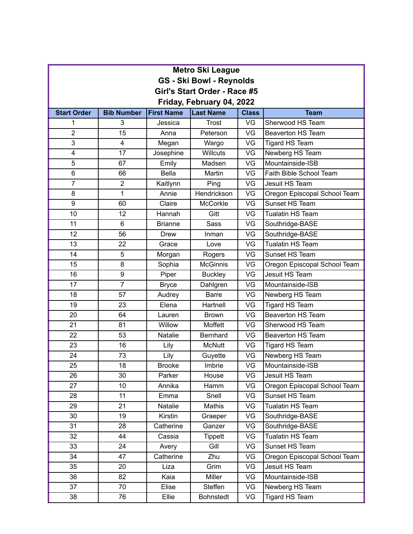| <b>Metro Ski League</b>         |                   |                   |                  |              |                              |  |  |
|---------------------------------|-------------------|-------------------|------------------|--------------|------------------------------|--|--|
| <b>GS - Ski Bowl - Reynolds</b> |                   |                   |                  |              |                              |  |  |
| Girl's Start Order - Race #5    |                   |                   |                  |              |                              |  |  |
| Friday, February 04, 2022       |                   |                   |                  |              |                              |  |  |
| <b>Start Order</b>              | <b>Bib Number</b> | <b>First Name</b> | <b>Last Name</b> | <b>Class</b> | <b>Team</b>                  |  |  |
| 1                               | 3                 | Jessica           | <b>Trost</b>     | VG           | Sherwood HS Team             |  |  |
| $\overline{2}$                  | 15                | Anna              | Peterson         | VG           | <b>Beaverton HS Team</b>     |  |  |
| $\overline{3}$                  | 4                 | Megan             | Wargo            | VG           | Tigard HS Team               |  |  |
| 4                               | 17                | Josephine         | Willcuts         | VG           | Newberg HS Team              |  |  |
| 5                               | 67                | Emily             | Madsen           | VG           | Mountainside-ISB             |  |  |
| 6                               | 66                | <b>Bella</b>      | Martin           | VG           | Faith Bible School Team      |  |  |
| $\overline{7}$                  | $\overline{2}$    | Kaitlynn          | Ping             | VG           | Jesuit HS Team               |  |  |
| 8                               | 1                 | Annie             | Hendrickson      | VG           | Oregon Episcopal School Team |  |  |
| 9                               | 60                | Claire            | <b>McCorkle</b>  | VG           | Sunset HS Team               |  |  |
| 10                              | 12                | Hannah            | Gitt             | VG           | <b>Tualatin HS Team</b>      |  |  |
| 11                              | $6\phantom{1}$    | <b>Brianne</b>    | <b>Sass</b>      | VG           | Southridge-BASE              |  |  |
| 12                              | 56                | <b>Drew</b>       | Inman            | VG           | Southridge-BASE              |  |  |
| 13                              | 22                | Grace             | Love             | VG           | <b>Tualatin HS Team</b>      |  |  |
| 14                              | 5                 | Morgan            | Rogers           | VG           | Sunset HS Team               |  |  |
| 15                              | 8                 | Sophia            | <b>McGinnis</b>  | VG           | Oregon Episcopal School Team |  |  |
| 16                              | 9                 | Piper             | <b>Buckley</b>   | VG           | Jesuit HS Team               |  |  |
| 17                              | $\overline{7}$    | <b>Bryce</b>      | Dahlgren         | VG           | Mountainside-ISB             |  |  |
| 18                              | 57                | Audrey            | <b>Barre</b>     | VG           | Newberg HS Team              |  |  |
| 19                              | 23                | Elena             | Hartnell         | VG           | <b>Tigard HS Team</b>        |  |  |
| 20                              | 64                | Lauren            | <b>Brown</b>     | VG           | <b>Beaverton HS Team</b>     |  |  |
| 21                              | 81                | Willow            | Moffett          | VG           | Sherwood HS Team             |  |  |
| 22                              | 53                | <b>Natalie</b>    | Bernhard         | VG           | <b>Beaverton HS Team</b>     |  |  |
| 23                              | 16                | Lily              | <b>McNutt</b>    | VG           | <b>Tigard HS Team</b>        |  |  |
| 24                              | 73                | Lily              | Guyette          | VG           | Newberg HS Team              |  |  |
| 25                              | 18                | <b>Brooke</b>     | Imbrie           | VG           | Mountainside-ISB             |  |  |
| 26                              | 30                | Parker            | House            | VG           | Jesuit HS Team               |  |  |
| 27                              | 10                | Annika            | Hamm             | VG           | Oregon Episcopal School Team |  |  |
| 28                              | 11                | Emma              | Snell            | VG           | Sunset HS Team               |  |  |
| 29                              | 21                | Natalie           | Mathis           | VG           | Tualatin HS Team             |  |  |
| 30                              | 19                | Kirstin           | Graeper          | VG           | Southridge-BASE              |  |  |
| 31                              | 28                | Catherine         | Ganzer           | VG           | Southridge-BASE              |  |  |
| 32                              | 44                | Cassia            | <b>Tippett</b>   | VG           | Tualatin HS Team             |  |  |
| 33                              | 24                | Avery             | Gill             | VG           | Sunset HS Team               |  |  |
| 34                              | 47                | Catherine         | Zhu              | VG           | Oregon Episcopal School Team |  |  |
| 35                              | 20                | Liza              | Grim             | VG           | Jesuit HS Team               |  |  |
| 36                              | 82                | Kaia              | Miller           | VG           | Mountainside-ISB             |  |  |
| 37                              | 70                | Elise             | Steffen          | VG           | Newberg HS Team              |  |  |
| 38                              | 76                | Ellie             | <b>Bohnstedt</b> | VG           | <b>Tigard HS Team</b>        |  |  |